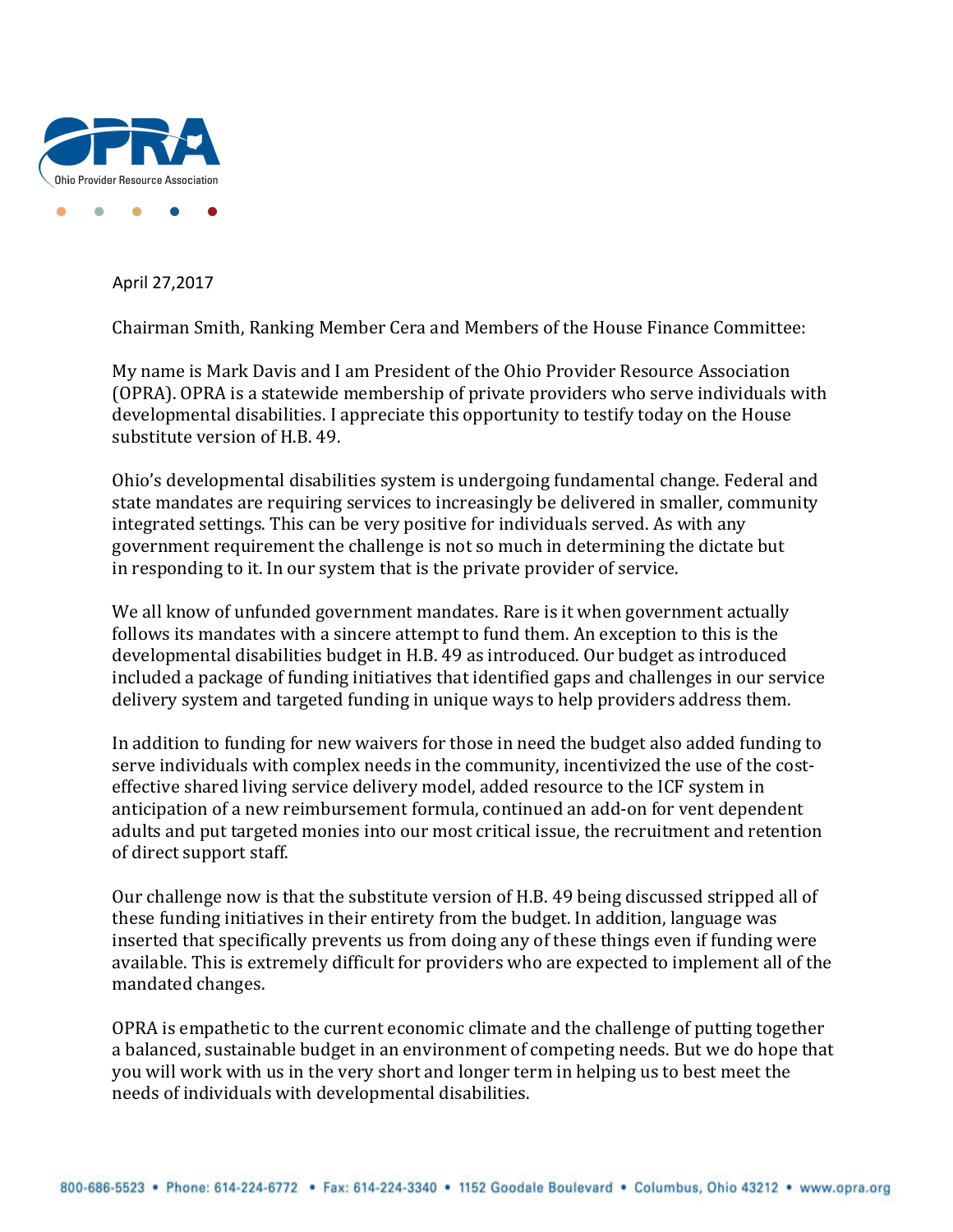

April 27,2017

Chairman Smith, Ranking Member Cera and Members of the House Finance Committee:

My name is Mark Davis and I am President of the Ohio Provider Resource Association (OPRA). OPRA is a statewide membership of private providers who serve individuals with developmental disabilities. I appreciate this opportunity to testify today on the House substitute version of H.B. 49.

Ohio's developmental disabilities system is undergoing fundamental change. Federal and state mandates are requiring services to increasingly be delivered in smaller, community integrated settings. This can be very positive for individuals served. As with any government requirement the challenge is not so much in determining the dictate but in responding to it. In our system that is the private provider of service.

We all know of unfunded government mandates. Rare is it when government actually follows its mandates with a sincere attempt to fund them. An exception to this is the developmental disabilities budget in H.B. 49 as introduced. Our budget as introduced included a package of funding initiatives that identified gaps and challenges in our service delivery system and targeted funding in unique ways to help providers address them.

In addition to funding for new waivers for those in need the budget also added funding to serve individuals with complex needs in the community, incentivized the use of the costeffective shared living service delivery model, added resource to the ICF system in anticipation of a new reimbursement formula, continued an add-on for vent dependent adults and put targeted monies into our most critical issue, the recruitment and retention of direct support staff.

Our challenge now is that the substitute version of H.B. 49 being discussed stripped all of these funding initiatives in their entirety from the budget. In addition, language was inserted that specifically prevents us from doing any of these things even if funding were available. This is extremely difficult for providers who are expected to implement all of the mandated changes.

OPRA is empathetic to the current economic climate and the challenge of putting together a balanced, sustainable budget in an environment of competing needs. But we do hope that you will work with us in the very short and longer term in helping us to best meet the needs of individuals with developmental disabilities.